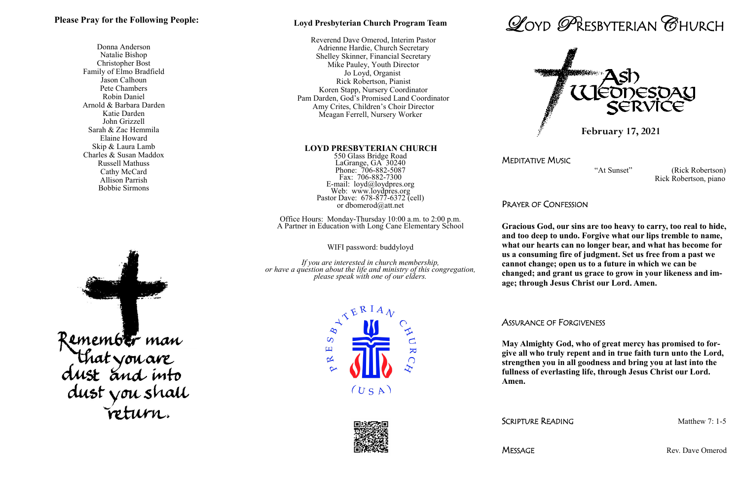### **Loyd Presbyterian Church Program Team**

 Reverend Dave Omerod, Interim Pastor Adrienne Hardie, Church Secretary Shelley Skinner, Financial Secretary Mike Pauley, Youth Director Jo Loyd, Organist Rick Robertson, Pianist Koren Stapp, Nursery Coordinator Pam Darden, God's Promised Land Coordinator Amy Crites, Children's Choir Director Meagan Ferrell, Nursery Worker

#### **LOYD PRESBYTERIAN CHURCH**

550 Glass Bridge Road LaGrange, GA 30240 Phone: 706-882-5087 Fax: 706-882-7300 E-mail: loyd@loydpres.org Web: www.loydpres.org Pastor Dave: 678-877-6372 (cell) or dbomerod@att.net

Office Hours: Monday-Thursday 10:00 a.m. to 2:00 p.m. A Partner in Education with Long Cane Elementary School

WIFI password: buddyloyd

*If you are interested in church membership, or have a question about the life and ministry of this congregation, please speak with one of our elders.*











MEDITATIVE MUSIC

 "At Sunset" (Rick Robertson) Rick Robertson, piano

PRAYER OF CONFESSION

**Gracious God, our sins are too heavy to carry, too real to hide, and too deep to undo. Forgive what our lips tremble to name, what our hearts can no longer bear, and what has become for us a consuming fire of judgment. Set us free from a past we cannot change; open us to a future in which we can be changed; and grant us grace to grow in your likeness and image; through Jesus Christ our Lord. Amen.**

ASSURANCE OF FORGIVENESS

**May Almighty God, who of great mercy has promised to forgive all who truly repent and in true faith turn unto the Lord, strengthen you in all goodness and bring you at last into the fullness of everlasting life, through Jesus Christ our Lord.** 

MESSAGE Rev. Dave Omerod

**Amen.**

SCRIPTURE READING Matthew 7: 1-5

### **Please Pray for the Following People:**

Donna Anderson Natalie Bishop Christopher Bost Family of Elmo Bradfield Jason Calhoun Pete Chambers Robin Daniel Arnold & Barbara Darden Katie Darden John Grizzell Sarah & Zac Hemmila Elaine Howard Skip & Laura Lamb Charles & Susan Maddox Russell Mathuss Cathy McCard Allison Parrish Bobbie Sirmons



 **February 17, 2021**